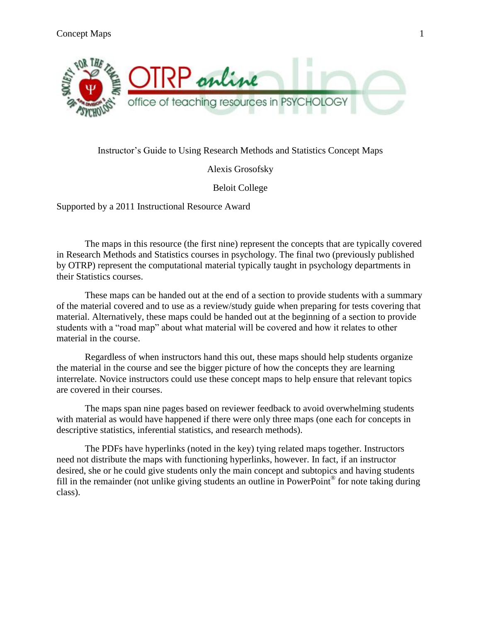

### Instructor's Guide to Using Research Methods and Statistics Concept Maps

Alexis Grosofsky

Beloit College

Supported by a 2011 Instructional Resource Award

The maps in this resource (the first nine) represent the concepts that are typically covered in Research Methods and Statistics courses in psychology. The final two (previously published by OTRP) represent the computational material typically taught in psychology departments in their Statistics courses.

These maps can be handed out at the end of a section to provide students with a summary of the material covered and to use as a review/study guide when preparing for tests covering that material. Alternatively, these maps could be handed out at the beginning of a section to provide students with a "road map" about what material will be covered and how it relates to other material in the course.

Regardless of when instructors hand this out, these maps should help students organize the material in the course and see the bigger picture of how the concepts they are learning interrelate. Novice instructors could use these concept maps to help ensure that relevant topics are covered in their courses.

The maps span nine pages based on reviewer feedback to avoid overwhelming students with material as would have happened if there were only three maps (one each for concepts in descriptive statistics, inferential statistics, and research methods).

The PDFs have hyperlinks (noted in the key) tying related maps together. Instructors need not distribute the maps with functioning hyperlinks, however. In fact, if an instructor desired, she or he could give students only the main concept and subtopics and having students fill in the remainder (not unlike giving students an outline in PowerPoint<sup>®</sup> for note taking during class).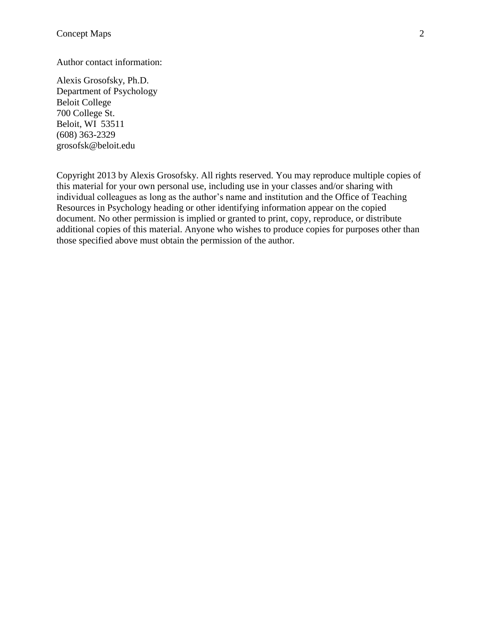#### Author contact information:

Alexis Grosofsky, Ph.D. Department of Psychology Beloit College 700 College St. Beloit, WI 53511 (608) 363-2329 grosofsk@beloit.edu

Copyright 2013 by Alexis Grosofsky. All rights reserved. You may reproduce multiple copies of this material for your own personal use, including use in your classes and/or sharing with individual colleagues as long as the author's name and institution and the Office of Teaching Resources in Psychology heading or other identifying information appear on the copied document. No other permission is implied or granted to print, copy, reproduce, or distribute additional copies of this material. Anyone who wishes to produce copies for purposes other than those specified above must obtain the permission of the author.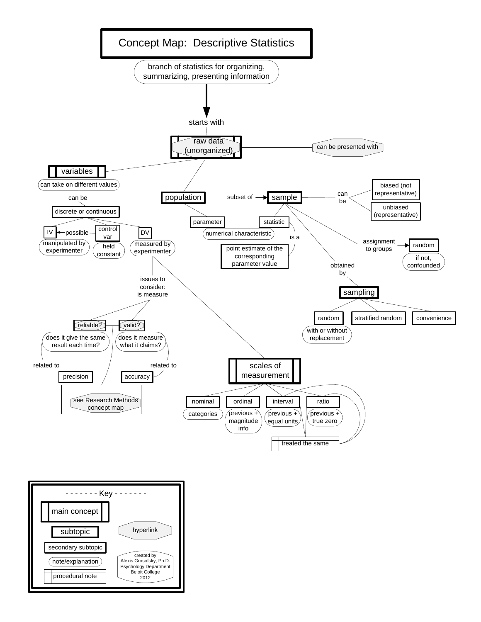<span id="page-2-0"></span>

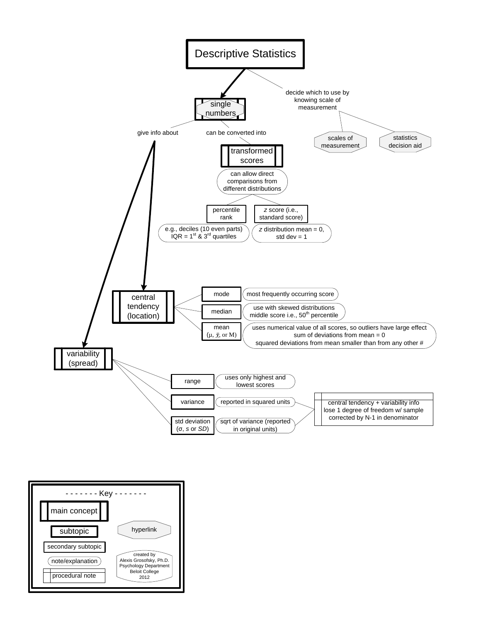

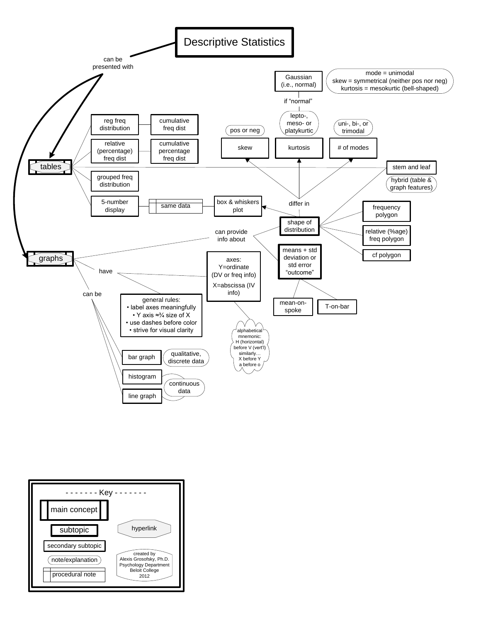<span id="page-4-0"></span>

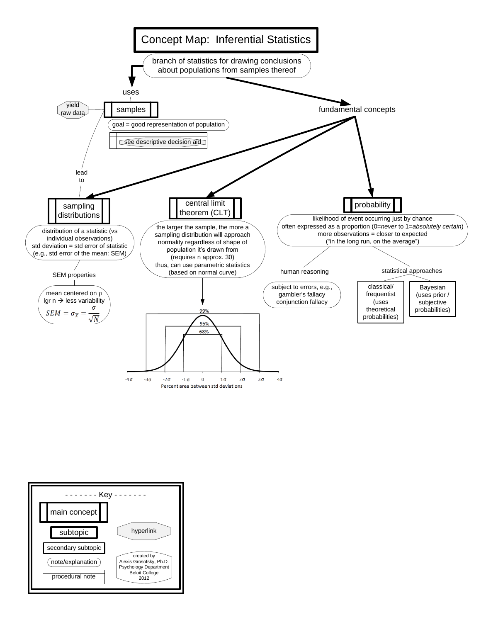<span id="page-5-0"></span>

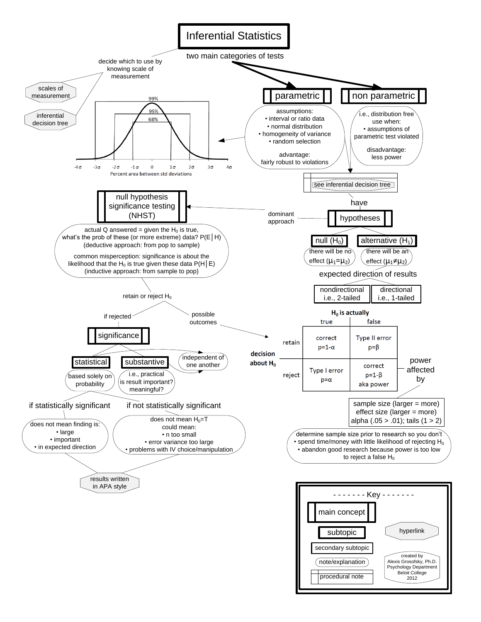<span id="page-6-0"></span>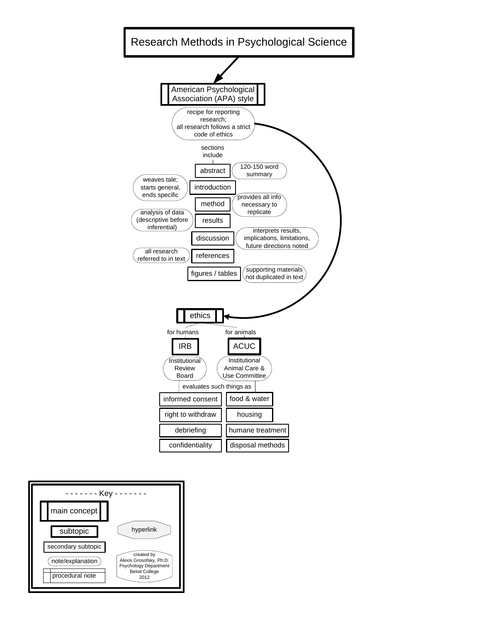<span id="page-7-0"></span>

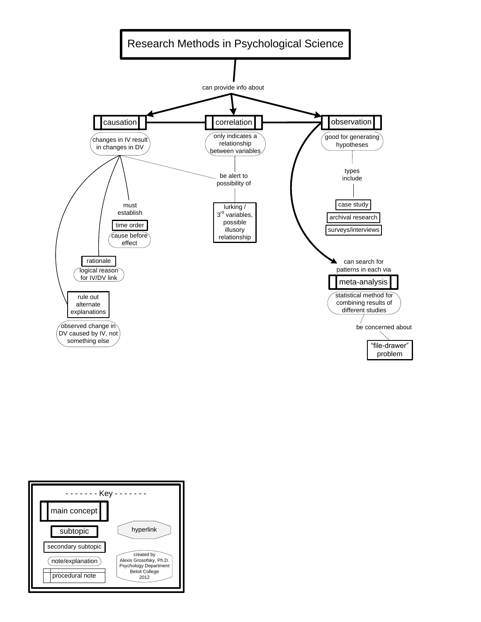<span id="page-8-0"></span>

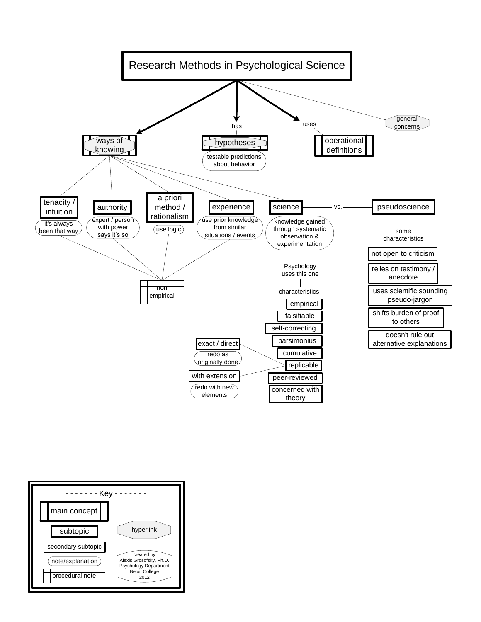<span id="page-9-0"></span>

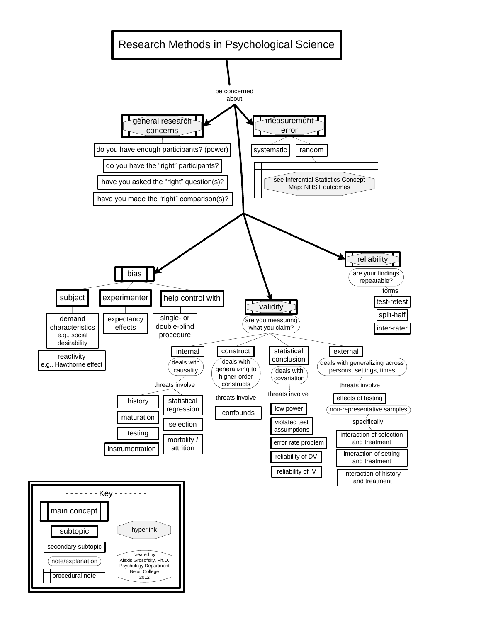<span id="page-10-0"></span>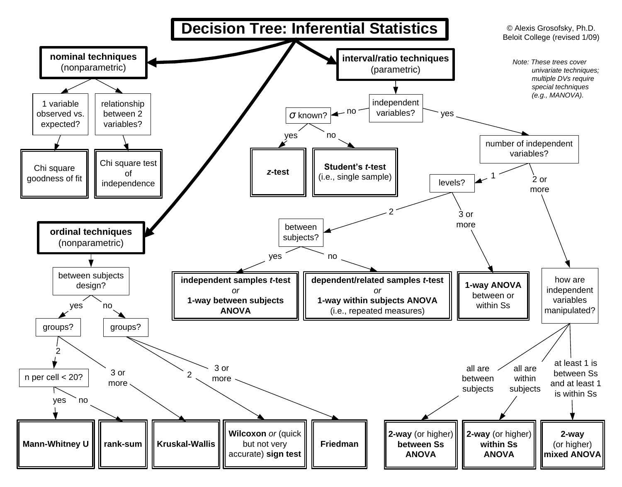<span id="page-11-0"></span>